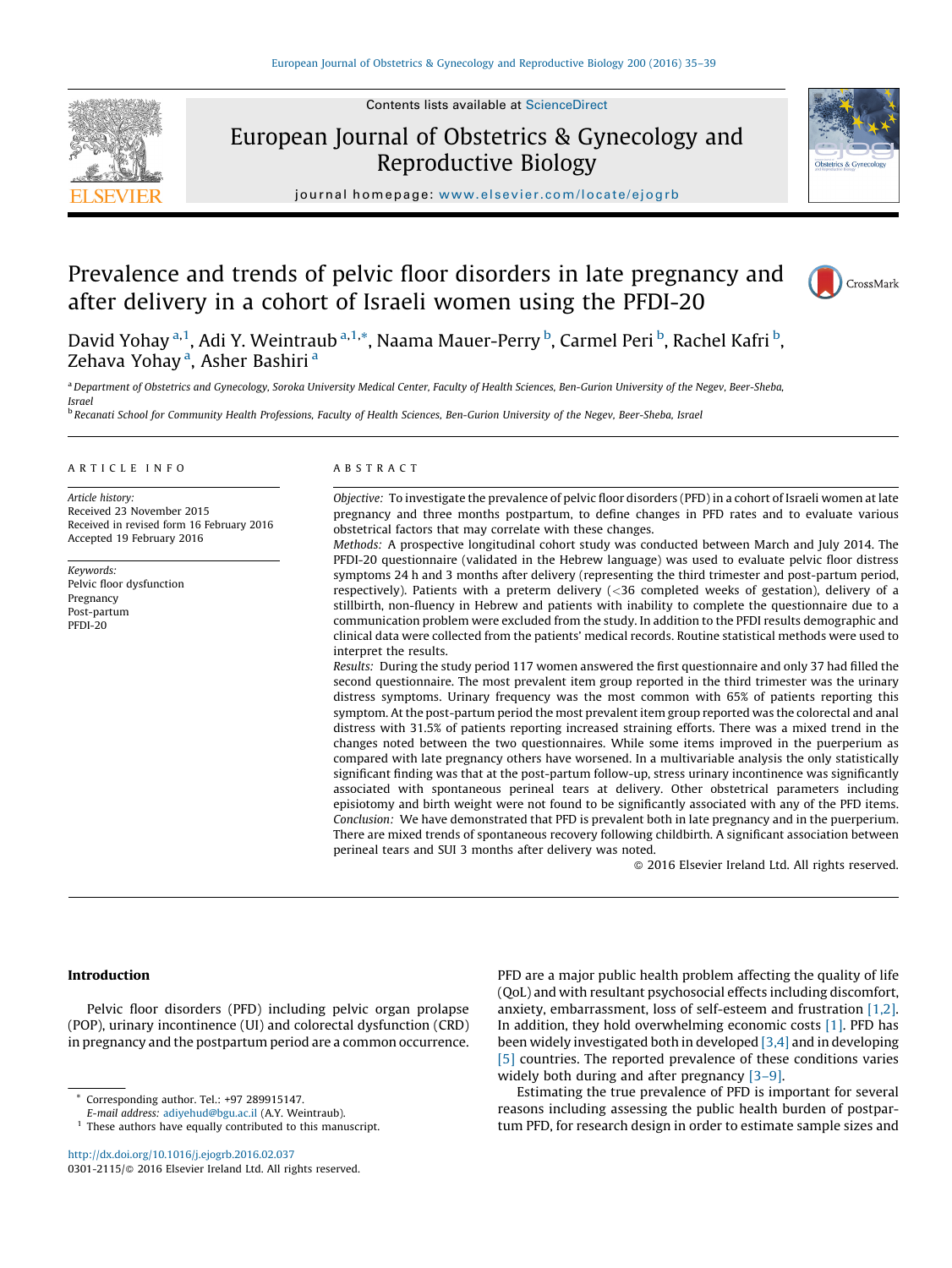Contents lists available at [ScienceDirect](http://www.sciencedirect.com/science/journal/03012115)



# European Journal of Obstetrics & Gynecology and Reproductive Biology



journal homepage: <www.elsevier.com/locate/ejogrb>

# Prevalence and trends of pelvic floor disorders in late pregnancy and after delivery in a cohort of Israeli women using the PFDI-20



David Yohay <sup>a,1</sup>, Adi Y. Weintraub <sup>a,1,</sup>\*, Naama Mauer-Perry <sup>b</sup>, Carmel Peri <sup>b</sup>, Rachel Kafri <sup>b</sup>, Zehava Yohay <sup>a</sup>, Asher Bashiri <sup>a</sup>

a Department of Obstetrics and Gynecology, Soroka University Medical Center, Faculty of Health Sciences, Ben-Gurion University of the Negev, Beer-Sheba, Israel

<sup>b</sup> Recanati School for Community Health Professions, Faculty of Health Sciences, Ben-Gurion University of the Negev, Beer-Sheba, Israel

#### A R T I C L E I N F O

Article history: Received 23 November 2015 Received in revised form 16 February 2016 Accepted 19 February 2016

Keywords: Pelvic floor dysfunction Pregnancy Post-partum PFDI-20

## A B S T R A C T

Objective: To investigate the prevalence of pelvic floor disorders (PFD) in a cohort of Israeli women at late pregnancy and three months postpartum, to define changes in PFD rates and to evaluate various obstetrical factors that may correlate with these changes.

Methods: A prospective longitudinal cohort study was conducted between March and July 2014. The PFDI-20 questionnaire (validated in the Hebrew language) was used to evaluate pelvic floor distress symptoms 24 h and 3 months after delivery (representing the third trimester and post-partum period, respectively). Patients with a preterm delivery (<36 completed weeks of gestation), delivery of a stillbirth, non-fluency in Hebrew and patients with inability to complete the questionnaire due to a communication problem were excluded from the study. In addition to the PFDI results demographic and clinical data were collected from the patients' medical records. Routine statistical methods were used to interpret the results.

Results: During the study period 117 women answered the first questionnaire and only 37 had filled the second questionnaire. The most prevalent item group reported in the third trimester was the urinary distress symptoms. Urinary frequency was the most common with 65% of patients reporting this symptom. At the post-partum period the most prevalent item group reported was the colorectal and anal distress with 31.5% of patients reporting increased straining efforts. There was a mixed trend in the changes noted between the two questionnaires. While some items improved in the puerperium as compared with late pregnancy others have worsened. In a multivariable analysis the only statistically significant finding was that at the post-partum follow-up, stress urinary incontinence was significantly associated with spontaneous perineal tears at delivery. Other obstetrical parameters including episiotomy and birth weight were not found to be significantly associated with any of the PFD items. Conclusion: We have demonstrated that PFD is prevalent both in late pregnancy and in the puerperium. There are mixed trends of spontaneous recovery following childbirth. A significant association between perineal tears and SUI 3 months after delivery was noted.

- 2016 Elsevier Ireland Ltd. All rights reserved.

### Introduction

Pelvic floor disorders (PFD) including pelvic organ prolapse (POP), urinary incontinence (UI) and colorectal dysfunction (CRD) in pregnancy and the postpartum period are a common occurrence.

<http://dx.doi.org/10.1016/j.ejogrb.2016.02.037> 0301-2115/© 2016 Elsevier Ireland Ltd. All rights reserved. PFD are a major public health problem affecting the quality of life (QoL) and with resultant psychosocial effects including discomfort, anxiety, embarrassment, loss of self-esteem and frustration [\[1,2\].](#page-4-0) In addition, they hold overwhelming economic costs [\[1\]](#page-4-0). PFD has been widely investigated both in developed [\[3,4\]](#page-4-0) and in developing [\[5\]](#page-4-0) countries. The reported prevalence of these conditions varies widely both during and after pregnancy [3-9].

Estimating the true prevalence of PFD is important for several reasons including assessing the public health burden of postpartum PFD, for research design in order to estimate sample sizes and

Corresponding author. Tel.: +97 289915147.

E-mail address: [adiyehud@bgu.ac.il](mailto:adiyehud@bgu.ac.il) (A.Y. Weintraub).

 $^{\rm 1}$  These authors have equally contributed to this manuscript.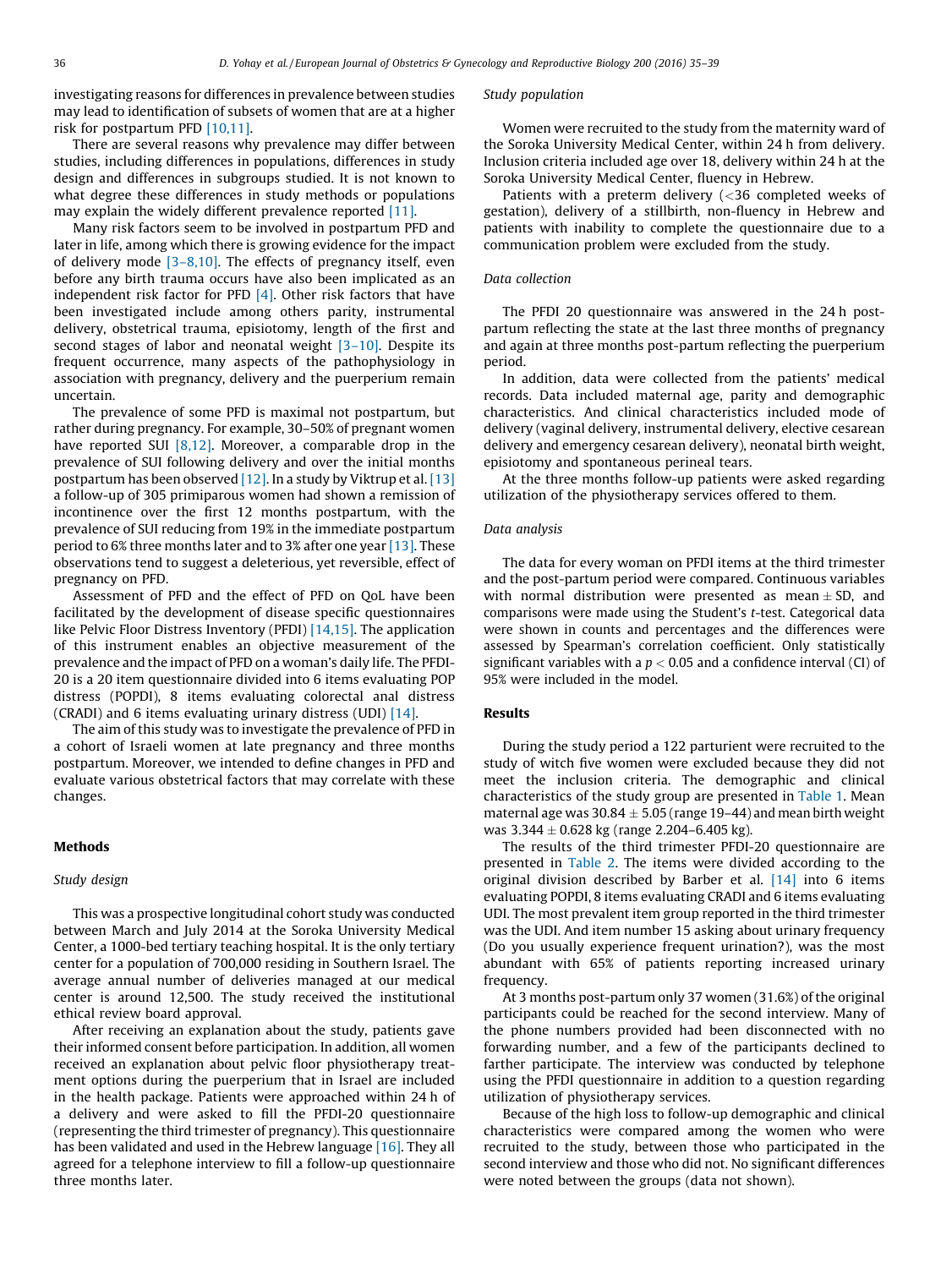investigating reasons for differences in prevalence between studies may lead to identification of subsets of women that are at a higher risk for postpartum PFD [\[10,11\]](#page-4-0).

There are several reasons why prevalence may differ between studies, including differences in populations, differences in study design and differences in subgroups studied. It is not known to what degree these differences in study methods or populations may explain the widely different prevalence reported [\[11\]](#page-4-0).

Many risk factors seem to be involved in postpartum PFD and later in life, among which there is growing evidence for the impact of delivery mode  $[3-8,10]$ . The effects of pregnancy itself, even before any birth trauma occurs have also been implicated as an independent risk factor for PFD [\[4\]](#page-4-0). Other risk factors that have been investigated include among others parity, instrumental delivery, obstetrical trauma, episiotomy, length of the first and second stages of labor and neonatal weight [\[3–10\].](#page-4-0) Despite its frequent occurrence, many aspects of the pathophysiology in association with pregnancy, delivery and the puerperium remain uncertain.

The prevalence of some PFD is maximal not postpartum, but rather during pregnancy. For example, 30–50% of pregnant women have reported SUI  $[8,12]$ . Moreover, a comparable drop in the prevalence of SUI following delivery and over the initial months postpartum has been observed [\[12\].](#page-4-0) In a study by Viktrup et al. [\[13\]](#page-4-0) a follow-up of 305 primiparous women had shown a remission of incontinence over the first 12 months postpartum, with the prevalence of SUI reducing from 19% in the immediate postpartum period to 6% three months later and to 3% after one year [\[13\]](#page-4-0). These observations tend to suggest a deleterious, yet reversible, effect of pregnancy on PFD.

Assessment of PFD and the effect of PFD on QoL have been facilitated by the development of disease specific questionnaires like Pelvic Floor Distress Inventory (PFDI) [\[14,15\]](#page-4-0). The application of this instrument enables an objective measurement of the prevalence and the impact of PFD on a woman's daily life. The PFDI-20 is a 20 item questionnaire divided into 6 items evaluating POP distress (POPDI), 8 items evaluating colorectal anal distress (CRADI) and 6 items evaluating urinary distress (UDI) [\[14\]](#page-4-0).

The aim of this study was to investigate the prevalence of PFD in a cohort of Israeli women at late pregnancy and three months postpartum. Moreover, we intended to define changes in PFD and evaluate various obstetrical factors that may correlate with these changes.

# Methods

## Study design

This was a prospective longitudinal cohort study was conducted between March and July 2014 at the Soroka University Medical Center, a 1000-bed tertiary teaching hospital. It is the only tertiary center for a population of 700,000 residing in Southern Israel. The average annual number of deliveries managed at our medical center is around 12,500. The study received the institutional ethical review board approval.

After receiving an explanation about the study, patients gave their informed consent before participation. In addition, all women received an explanation about pelvic floor physiotherapy treatment options during the puerperium that in Israel are included in the health package. Patients were approached within 24 h of a delivery and were asked to fill the PFDI-20 questionnaire (representing the third trimester of pregnancy). This questionnaire has been validated and used in the Hebrew language [\[16\].](#page-4-0) They all agreed for a telephone interview to fill a follow-up questionnaire three months later.

#### Study population

Women were recruited to the study from the maternity ward of the Soroka University Medical Center, within 24 h from delivery. Inclusion criteria included age over 18, delivery within 24 h at the Soroka University Medical Center, fluency in Hebrew.

Patients with a preterm delivery (<36 completed weeks of gestation), delivery of a stillbirth, non-fluency in Hebrew and patients with inability to complete the questionnaire due to a communication problem were excluded from the study.

### Data collection

The PFDI 20 questionnaire was answered in the 24 h postpartum reflecting the state at the last three months of pregnancy and again at three months post-partum reflecting the puerperium period.

In addition, data were collected from the patients' medical records. Data included maternal age, parity and demographic characteristics. And clinical characteristics included mode of delivery (vaginal delivery, instrumental delivery, elective cesarean delivery and emergency cesarean delivery), neonatal birth weight, episiotomy and spontaneous perineal tears.

At the three months follow-up patients were asked regarding utilization of the physiotherapy services offered to them.

## Data analysis

The data for every woman on PFDI items at the third trimester and the post-partum period were compared. Continuous variables with normal distribution were presented as mean  $\pm$  SD, and comparisons were made using the Student's t-test. Categorical data were shown in counts and percentages and the differences were assessed by Spearman's correlation coefficient. Only statistically significant variables with a  $p < 0.05$  and a confidence interval (CI) of 95% were included in the model.

#### Results

During the study period a 122 parturient were recruited to the study of witch five women were excluded because they did not meet the inclusion criteria. The demographic and clinical characteristics of the study group are presented in [Table](#page-2-0) 1. Mean maternal age was 30.84  $\pm$  5.05 (range 19–44) and mean birth weight was  $3.344 \pm 0.628$  kg (range 2.204–6.405 kg).

The results of the third trimester PFDI-20 questionnaire are presented in [Table](#page-2-0) 2. The items were divided according to the original division described by Barber et al. [\[14\]](#page-4-0) into 6 items evaluating POPDI, 8 items evaluating CRADI and 6 items evaluating UDI. The most prevalent item group reported in the third trimester was the UDI. And item number 15 asking about urinary frequency (Do you usually experience frequent urination?), was the most abundant with 65% of patients reporting increased urinary frequency.

At 3 months post-partum only 37 women (31.6%) of the original participants could be reached for the second interview. Many of the phone numbers provided had been disconnected with no forwarding number, and a few of the participants declined to farther participate. The interview was conducted by telephone using the PFDI questionnaire in addition to a question regarding utilization of physiotherapy services.

Because of the high loss to follow-up demographic and clinical characteristics were compared among the women who were recruited to the study, between those who participated in the second interview and those who did not. No significant differences were noted between the groups (data not shown).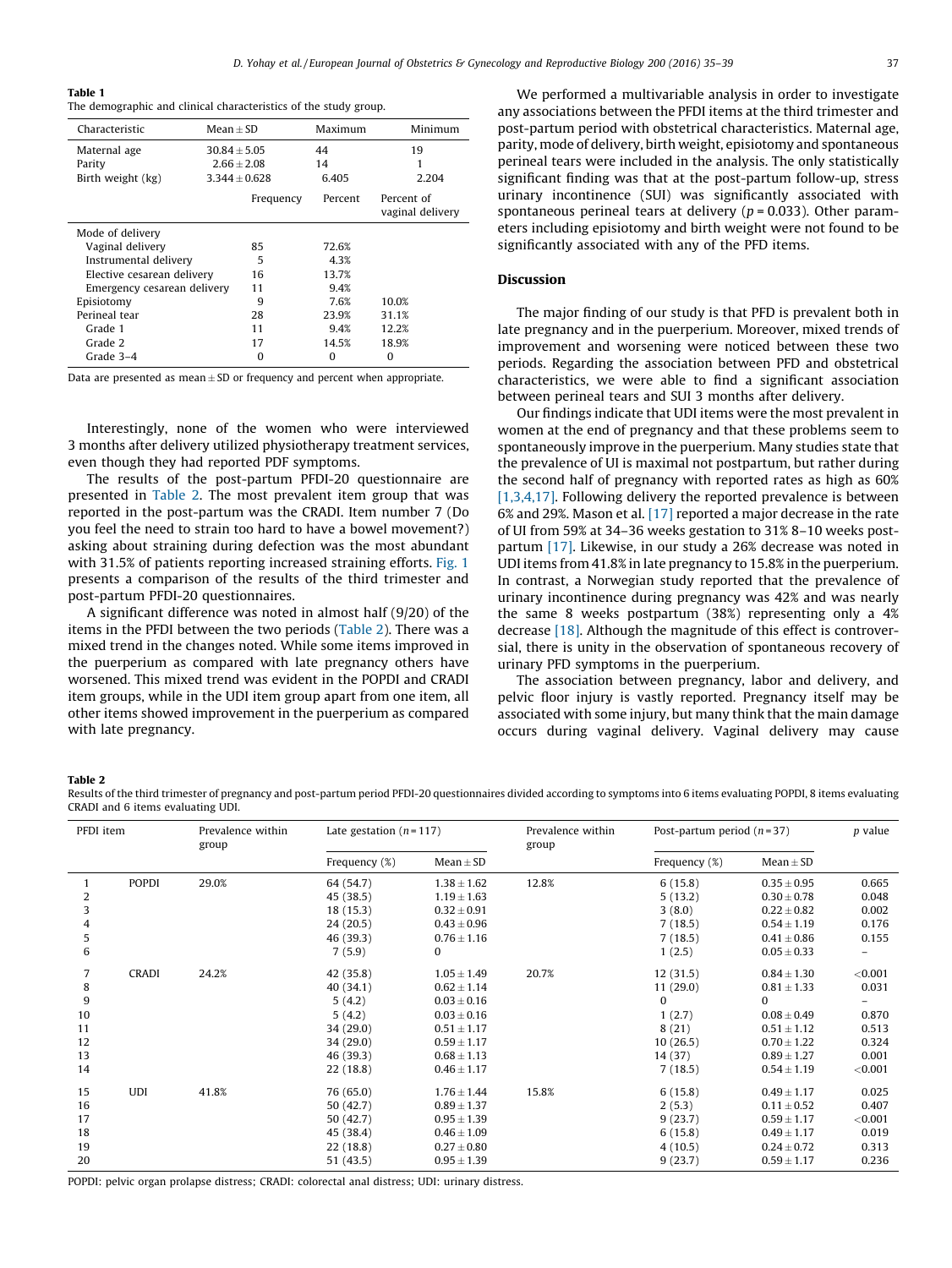#### <span id="page-2-0"></span>Table 1

The demographic and clinical characteristics of the study group.

| Characteristic              | Mean $\pm$ SD    |                   | Maximum | Minimum                        |  |
|-----------------------------|------------------|-------------------|---------|--------------------------------|--|
| Maternal age                | $30.84 \pm 5.05$ |                   | 44      | 19                             |  |
| Parity                      |                  | $2.66 \pm 2.08$   | 14      |                                |  |
| Birth weight (kg)           |                  | $3.344 \pm 0.628$ | 6.405   | 2.204                          |  |
|                             |                  | Frequency         | Percent | Percent of<br>vaginal delivery |  |
| Mode of delivery            |                  |                   |         |                                |  |
| Vaginal delivery            |                  | 85                | 72.6%   |                                |  |
| Instrumental delivery       | 5                | 4.3%              |         |                                |  |
| Elective cesarean delivery  | 16               | 13.7%             |         |                                |  |
| Emergency cesarean delivery | 11               | 9.4%              |         |                                |  |
| Episiotomy                  |                  | 9                 | 7.6%    | 10.0%                          |  |
| Perineal tear               |                  | 28                | 23.9%   | 31.1%                          |  |
| Grade 1                     |                  | 11                | 9.4%    | 12.2%                          |  |
| Grade 2                     |                  | 17                | 14.5%   | 18.9%                          |  |
| Grade 3-4                   |                  | O                 | O       | $\Omega$                       |  |
|                             |                  |                   |         |                                |  |

Data are presented as mean $\pm$  SD or frequency and percent when appropriate.

Interestingly, none of the women who were interviewed 3 months after delivery utilized physiotherapy treatment services, even though they had reported PDF symptoms.

The results of the post-partum PFDI-20 questionnaire are presented in Table 2. The most prevalent item group that was reported in the post-partum was the CRADI. Item number 7 (Do you feel the need to strain too hard to have a bowel movement?) asking about straining during defection was the most abundant with 31.5% of patients reporting increased straining efforts. [Fig.](#page-3-0) 1 presents a comparison of the results of the third trimester and post-partum PFDI-20 questionnaires.

A significant difference was noted in almost half (9/20) of the items in the PFDI between the two periods (Table 2). There was a mixed trend in the changes noted. While some items improved in the puerperium as compared with late pregnancy others have worsened. This mixed trend was evident in the POPDI and CRADI item groups, while in the UDI item group apart from one item, all other items showed improvement in the puerperium as compared with late pregnancy.

We performed a multivariable analysis in order to investigate any associations between the PFDI items at the third trimester and post-partum period with obstetrical characteristics. Maternal age, parity, mode of delivery, birth weight, episiotomy and spontaneous perineal tears were included in the analysis. The only statistically significant finding was that at the post-partum follow-up, stress urinary incontinence (SUI) was significantly associated with spontaneous perineal tears at delivery ( $p = 0.033$ ). Other parameters including episiotomy and birth weight were not found to be significantly associated with any of the PFD items.

## Discussion

The major finding of our study is that PFD is prevalent both in late pregnancy and in the puerperium. Moreover, mixed trends of improvement and worsening were noticed between these two periods. Regarding the association between PFD and obstetrical characteristics, we were able to find a significant association between perineal tears and SUI 3 months after delivery.

Our findings indicate that UDI items were the most prevalent in women at the end of pregnancy and that these problems seem to spontaneously improve in the puerperium. Many studies state that the prevalence of UI is maximal not postpartum, but rather during the second half of pregnancy with reported rates as high as 60% [\[1,3,4,17\]](#page-4-0). Following delivery the reported prevalence is between 6% and 29%. Mason et al. [\[17\]](#page-4-0) reported a major decrease in the rate of UI from 59% at 34–36 weeks gestation to 31% 8–10 weeks postpartum [\[17\]](#page-4-0). Likewise, in our study a 26% decrease was noted in UDI items from 41.8% in late pregnancy to 15.8% in the puerperium. In contrast, a Norwegian study reported that the prevalence of urinary incontinence during pregnancy was 42% and was nearly the same 8 weeks postpartum (38%) representing only a 4% decrease [\[18\].](#page-4-0) Although the magnitude of this effect is controversial, there is unity in the observation of spontaneous recovery of urinary PFD symptoms in the puerperium.

The association between pregnancy, labor and delivery, and pelvic floor injury is vastly reported. Pregnancy itself may be associated with some injury, but many think that the main damage occurs during vaginal delivery. Vaginal delivery may cause

Table 2

Results of the third trimester of pregnancy and post-partum period PFDI-20 questionnaires divided according to symptoms into 6 items evaluating POPDI, 8 items evaluating CRADI and 6 items evaluating UDI.

| PFDI item |              | Prevalence within<br>group | Late gestation $(n=117)$ |                 | Prevalence within<br>group | Post-partum period $(n=37)$ |                 | $p$ value |
|-----------|--------------|----------------------------|--------------------------|-----------------|----------------------------|-----------------------------|-----------------|-----------|
|           |              |                            | Frequency (%)            | $Mean \pm SD$   |                            | Frequency (%)               | $Mean \pm SD$   |           |
|           | <b>POPDI</b> | 29.0%                      | 64 (54.7)                | $1.38 \pm 1.62$ | 12.8%                      | 6(15.8)                     | $0.35 \pm 0.95$ | 0.665     |
| 2         |              |                            | 45 (38.5)                | $1.19 \pm 1.63$ |                            | 5(13.2)                     | $0.30 \pm 0.78$ | 0.048     |
| 3         |              |                            | 18 (15.3)                | $0.32 \pm 0.91$ |                            | 3(8.0)                      | $0.22 \pm 0.82$ | 0.002     |
|           |              |                            | 24(20.5)                 | $0.43 \pm 0.96$ |                            | 7(18.5)                     | $0.54 \pm 1.19$ | 0.176     |
| 5         |              |                            | 46 (39.3)                | $0.76 \pm 1.16$ |                            | 7(18.5)                     | $0.41 \pm 0.86$ | 0.155     |
| 6         |              |                            | 7(5.9)                   | 0               |                            | 1(2.5)                      | $0.05 \pm 0.33$ |           |
| 7         | <b>CRADI</b> | 24.2%                      | 42 (35.8)                | $1.05 \pm 1.49$ | 20.7%                      | 12(31.5)                    | $0.84 \pm 1.30$ | < 0.001   |
| 8         |              |                            | 40 (34.1)                | $0.62 \pm 1.14$ |                            | 11(29.0)                    | $0.81 \pm 1.33$ | 0.031     |
| 9         |              |                            | 5(4.2)                   | $0.03 \pm 0.16$ |                            | $\Omega$                    | $\Omega$        |           |
| 10        |              |                            | 5(4.2)                   | $0.03 \pm 0.16$ |                            | 1(2.7)                      | $0.08 \pm 0.49$ | 0.870     |
| 11        |              |                            | 34 (29.0)                | $0.51 \pm 1.17$ |                            | 8(21)                       | $0.51 \pm 1.12$ | 0.513     |
| 12        |              |                            | 34 (29.0)                | $0.59 \pm 1.17$ |                            | 10(26.5)                    | $0.70 \pm 1.22$ | 0.324     |
| 13        |              |                            | 46 (39.3)                | $0.68 \pm 1.13$ |                            | 14 (37)                     | $0.89 \pm 1.27$ | 0.001     |
| 14        |              |                            | 22(18.8)                 | $0.46 \pm 1.17$ |                            | 7(18.5)                     | $0.54 \pm 1.19$ | < 0.001   |
| 15        | <b>UDI</b>   | 41.8%                      | 76 (65.0)                | $1.76 \pm 1.44$ | 15.8%                      | 6(15.8)                     | $0.49 \pm 1.17$ | 0.025     |
| 16        |              |                            | 50 (42.7)                | $0.89 \pm 1.37$ |                            | 2(5.3)                      | $0.11 \pm 0.52$ | 0.407     |
| 17        |              |                            | 50 (42.7)                | $0.95 \pm 1.39$ |                            | 9(23.7)                     | $0.59 \pm 1.17$ | < 0.001   |
| 18        |              |                            | 45 (38.4)                | $0.46 \pm 1.09$ |                            | 6(15.8)                     | $0.49 \pm 1.17$ | 0.019     |
| 19        |              |                            | 22(18.8)                 | $0.27 \pm 0.80$ |                            | 4(10.5)                     | $0.24 \pm 0.72$ | 0.313     |
| 20        |              |                            | 51 (43.5)                | $0.95 \pm 1.39$ |                            | 9(23.7)                     | $0.59 \pm 1.17$ | 0.236     |

POPDI: pelvic organ prolapse distress; CRADI: colorectal anal distress; UDI: urinary distress.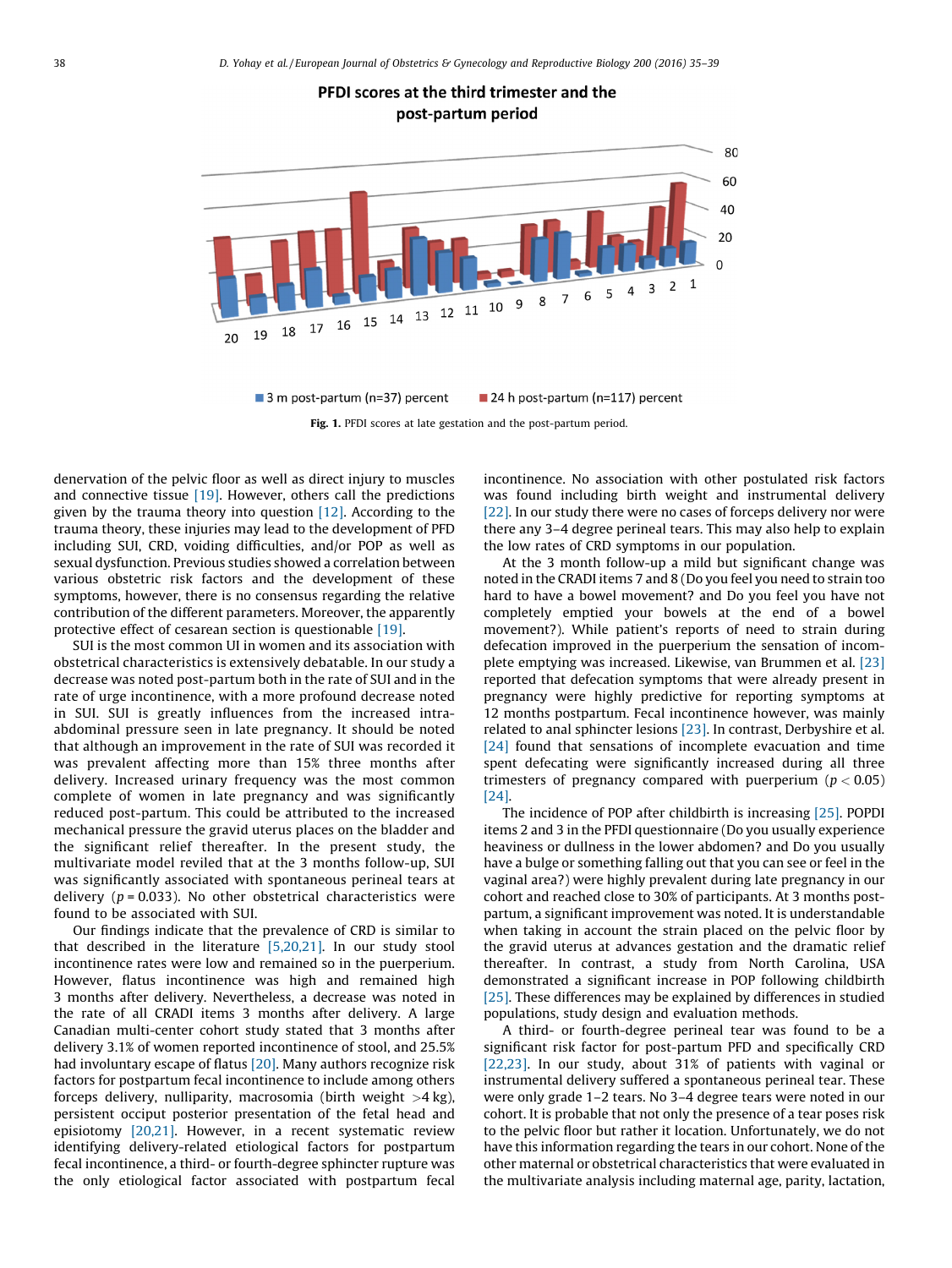PFDI scores at the third trimester and the post-partum period

<span id="page-3-0"></span>

3 m post-partum (n=37) percent 24 h post-partum (n=117) percent Fig. 1. PFDI scores at late gestation and the post-partum period.

denervation of the pelvic floor as well as direct injury to muscles and connective tissue  $[19]$ . However, others call the predictions given by the trauma theory into question [\[12\].](#page-4-0) According to the trauma theory, these injuries may lead to the development of PFD including SUI, CRD, voiding difficulties, and/or POP as well as sexual dysfunction. Previous studies showed a correlation between various obstetric risk factors and the development of these symptoms, however, there is no consensus regarding the relative contribution of the different parameters. Moreover, the apparently protective effect of cesarean section is questionable [\[19\].](#page-4-0)

SUI is the most common UI in women and its association with obstetrical characteristics is extensively debatable. In our study a decrease was noted post-partum both in the rate of SUI and in the rate of urge incontinence, with a more profound decrease noted in SUI. SUI is greatly influences from the increased intraabdominal pressure seen in late pregnancy. It should be noted that although an improvement in the rate of SUI was recorded it was prevalent affecting more than 15% three months after delivery. Increased urinary frequency was the most common complete of women in late pregnancy and was significantly reduced post-partum. This could be attributed to the increased mechanical pressure the gravid uterus places on the bladder and the significant relief thereafter. In the present study, the multivariate model reviled that at the 3 months follow-up, SUI was significantly associated with spontaneous perineal tears at delivery ( $p = 0.033$ ). No other obstetrical characteristics were found to be associated with SUI.

Our findings indicate that the prevalence of CRD is similar to that described in the literature [\[5,20,21\].](#page-4-0) In our study stool incontinence rates were low and remained so in the puerperium. However, flatus incontinence was high and remained high 3 months after delivery. Nevertheless, a decrease was noted in the rate of all CRADI items 3 months after delivery. A large Canadian multi-center cohort study stated that 3 months after delivery 3.1% of women reported incontinence of stool, and 25.5% had involuntary escape of flatus [\[20\].](#page-4-0) Many authors recognize risk factors for postpartum fecal incontinence to include among others forceps delivery, nulliparity, macrosomia (birth weight  $>4$  kg), persistent occiput posterior presentation of the fetal head and episiotomy [\[20,21\]](#page-4-0). However, in a recent systematic review identifying delivery-related etiological factors for postpartum fecal incontinence, a third- or fourth-degree sphincter rupture was the only etiological factor associated with postpartum fecal

incontinence. No association with other postulated risk factors was found including birth weight and instrumental delivery [\[22\]](#page-4-0). In our study there were no cases of forceps delivery nor were there any 3–4 degree perineal tears. This may also help to explain the low rates of CRD symptoms in our population.

At the 3 month follow-up a mild but significant change was noted in the CRADI items 7 and 8 (Do you feel you need to strain too hard to have a bowel movement? and Do you feel you have not completely emptied your bowels at the end of a bowel movement?). While patient's reports of need to strain during defecation improved in the puerperium the sensation of incomplete emptying was increased. Likewise, van Brummen et al. [\[23\]](#page-4-0) reported that defecation symptoms that were already present in pregnancy were highly predictive for reporting symptoms at 12 months postpartum. Fecal incontinence however, was mainly related to anal sphincter lesions [\[23\]](#page-4-0). In contrast, Derbyshire et al. [\[24\]](#page-4-0) found that sensations of incomplete evacuation and time spent defecating were significantly increased during all three trimesters of pregnancy compared with puerperium ( $p < 0.05$ )  $[24]$ 

The incidence of POP after childbirth is increasing [\[25\]](#page-4-0). POPDI items 2 and 3 in the PFDI questionnaire (Do you usually experience heaviness or dullness in the lower abdomen? and Do you usually have a bulge or something falling out that you can see or feel in the vaginal area?) were highly prevalent during late pregnancy in our cohort and reached close to 30% of participants. At 3 months postpartum, a significant improvement was noted. It is understandable when taking in account the strain placed on the pelvic floor by the gravid uterus at advances gestation and the dramatic relief thereafter. In contrast, a study from North Carolina, USA demonstrated a significant increase in POP following childbirth [\[25\]](#page-4-0). These differences may be explained by differences in studied populations, study design and evaluation methods.

A third- or fourth-degree perineal tear was found to be a significant risk factor for post-partum PFD and specifically CRD [\[22,23\].](#page-4-0) In our study, about 31% of patients with vaginal or instrumental delivery suffered a spontaneous perineal tear. These were only grade 1–2 tears. No 3–4 degree tears were noted in our cohort. It is probable that not only the presence of a tear poses risk to the pelvic floor but rather it location. Unfortunately, we do not have this information regarding the tears in our cohort. None of the other maternal or obstetrical characteristics that were evaluated in the multivariate analysis including maternal age, parity, lactation,